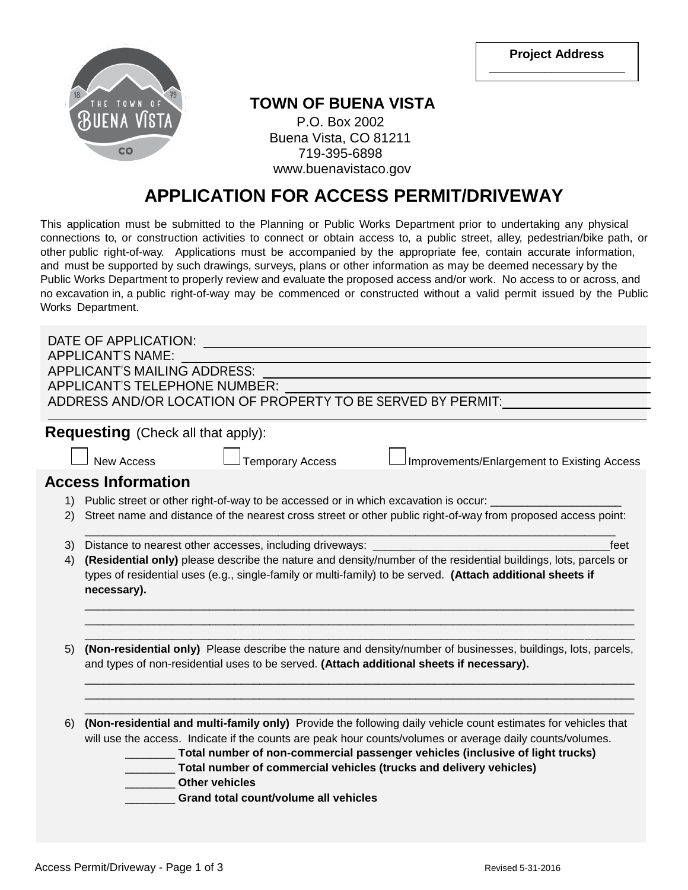**Project Address \_\_\_\_\_\_\_\_\_\_\_\_\_\_\_\_\_\_\_\_\_\_**



## **TOWN OF BUENA VISTA**

P.O. Box 2002 Buena Vista, CO 81211 719-395-6898 www.buenavistaco.gov

## **APPLICATION FOR ACCESS PERMIT/DRIVEWAY**

This application must be submitted to the Planning or Public Works Department prior to undertaking any physical connections to, or construction activities to connect or obtain access to, a public street, alley, pedestrian/bike path, or other public right-of-way. Applications must be accompanied by the appropriate fee, contain accurate information, and must be supported by such drawings, surveys, plans or other information as may be deemed necessary by the Public Works Department to properly review and evaluate the proposed access and/or work. No access to or across, and no excavation in, a public right-of-way may be commenced or constructed without a valid permit issued by the Public Works Department.

|                                                                                                                       | DATE OF APPLICATION:                                                                                                      |  |  |  |  |  |
|-----------------------------------------------------------------------------------------------------------------------|---------------------------------------------------------------------------------------------------------------------------|--|--|--|--|--|
| <b>APPLICANT'S NAME:</b>                                                                                              |                                                                                                                           |  |  |  |  |  |
| <b>APPLICANT'S MAILING ADDRESS:</b>                                                                                   |                                                                                                                           |  |  |  |  |  |
| <b>APPLICANT'S TELEPHONE NUMBER:</b>                                                                                  |                                                                                                                           |  |  |  |  |  |
|                                                                                                                       | ADDRESS AND/OR LOCATION OF PROPERTY TO BE SERVED BY PERMIT:                                                               |  |  |  |  |  |
|                                                                                                                       | <b>Requesting</b> (Check all that apply):                                                                                 |  |  |  |  |  |
|                                                                                                                       | <b>Temporary Access</b><br>Improvements/Enlargement to Existing Access<br><b>New Access</b>                               |  |  |  |  |  |
|                                                                                                                       | <b>Access Information</b>                                                                                                 |  |  |  |  |  |
|                                                                                                                       | 1) Public street or other right-of-way to be accessed or in which excavation is occur:                                    |  |  |  |  |  |
| 2)                                                                                                                    | Street name and distance of the nearest cross street or other public right-of-way from proposed access point:             |  |  |  |  |  |
| 3)                                                                                                                    | feet<br>Distance to nearest other accesses, including driveways: __________                                               |  |  |  |  |  |
| (Residential only) please describe the nature and density/number of the residential buildings, lots, parcels or<br>4) |                                                                                                                           |  |  |  |  |  |
|                                                                                                                       | types of residential uses (e.g., single-family or multi-family) to be served. (Attach additional sheets if<br>necessary). |  |  |  |  |  |
|                                                                                                                       |                                                                                                                           |  |  |  |  |  |
|                                                                                                                       |                                                                                                                           |  |  |  |  |  |
| 5)                                                                                                                    | (Non-residential only) Please describe the nature and density/number of businesses, buildings, lots, parcels,             |  |  |  |  |  |
|                                                                                                                       | and types of non-residential uses to be served. (Attach additional sheets if necessary).                                  |  |  |  |  |  |
|                                                                                                                       |                                                                                                                           |  |  |  |  |  |
|                                                                                                                       |                                                                                                                           |  |  |  |  |  |
| 6)                                                                                                                    | (Non-residential and multi-family only) Provide the following daily vehicle count estimates for vehicles that             |  |  |  |  |  |
|                                                                                                                       | will use the access. Indicate if the counts are peak hour counts/volumes or average daily counts/volumes.                 |  |  |  |  |  |
|                                                                                                                       | Total number of non-commercial passenger vehicles (inclusive of light trucks)                                             |  |  |  |  |  |
| Total number of commercial vehicles (trucks and delivery vehicles)                                                    |                                                                                                                           |  |  |  |  |  |
|                                                                                                                       | <b>Other vehicles</b>                                                                                                     |  |  |  |  |  |
|                                                                                                                       | Grand total count/volume all vehicles                                                                                     |  |  |  |  |  |
|                                                                                                                       |                                                                                                                           |  |  |  |  |  |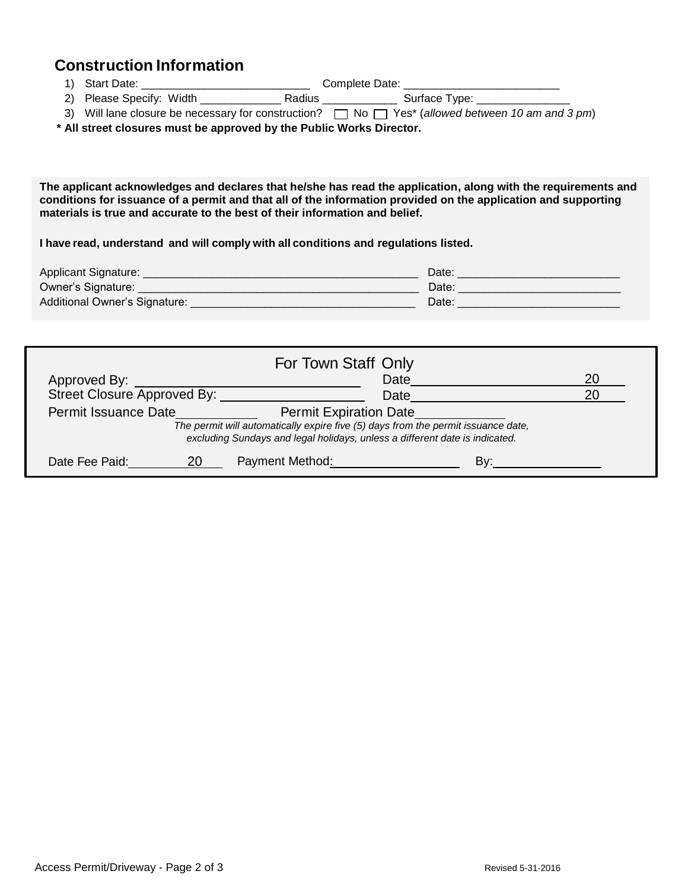## **Construction Information**

- 1) Start Date: \_\_\_\_\_\_\_\_\_\_\_\_\_\_\_\_\_\_\_\_\_\_\_\_\_\_\_ Complete Date: \_\_\_\_\_\_\_\_\_\_\_\_\_\_\_\_\_\_\_\_\_\_\_\_\_ 2) Please Specify: Width \_\_\_\_\_\_\_\_\_\_\_\_\_\_\_\_\_ Radius \_\_\_\_\_\_\_\_\_\_\_\_\_\_\_ Surface Type: \_\_\_\_\_\_\_\_
- 3) Will lane closure be necessary for construction?  $\Box$  No  $\Box$  Yes\* (*allowed between 10 am and 3 pm*)

**\* All street closures must be approved by the Public Works Director.**

**The applicant acknowledges and declares that he/she has read the application, along with the requirements and conditions for issuance of a permit and that all of the information provided on the application and supporting materials is true and accurate to the best of their information and belief.**

**I have read, understand and will comply with all conditions and regulations listed.**

| Applicant Signature:          | Date: |
|-------------------------------|-------|
| Owner's Signature:            | Date: |
| Additional Owner's Signature: | Date: |

| For Town Staff Only                                                                                                                                                                                                       |    |                        |     |  |  |  |
|---------------------------------------------------------------------------------------------------------------------------------------------------------------------------------------------------------------------------|----|------------------------|-----|--|--|--|
| Approved By:                                                                                                                                                                                                              |    | Date                   |     |  |  |  |
| Street Closure Approved By:                                                                                                                                                                                               |    | Date                   |     |  |  |  |
| Permit Issuance Date<br><b>Permit Expiration Date</b><br>The permit will automatically expire five (5) days from the permit issuance date,<br>excluding Sundays and legal holidays, unless a different date is indicated. |    |                        |     |  |  |  |
| Date Fee Paid:                                                                                                                                                                                                            | 20 | <b>Payment Method:</b> | Bv· |  |  |  |